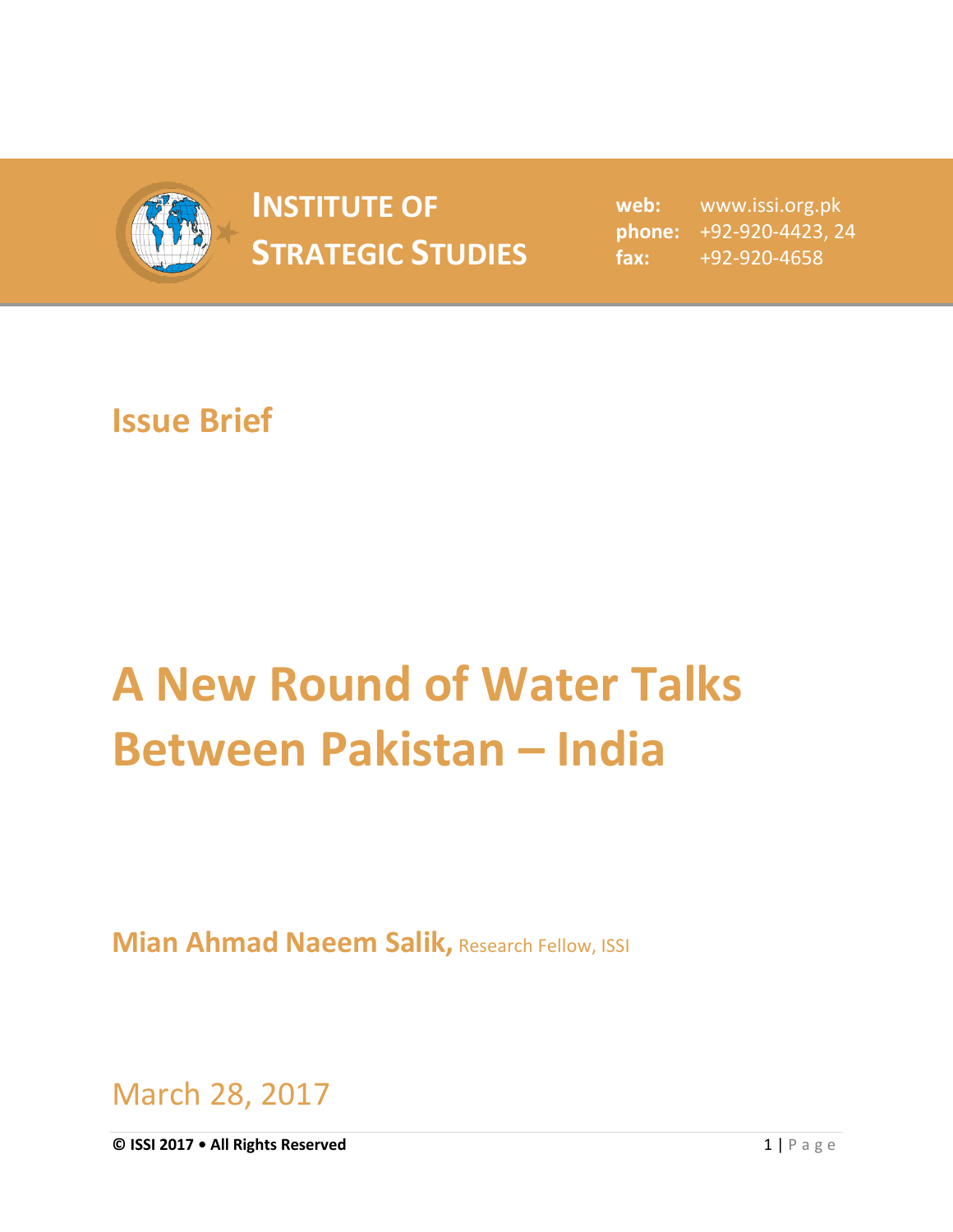

## **INSTITUTE OF STRATEGIC STUDIES**  $\begin{bmatrix} 1 & 1 & 1 \\ 1 & 1 & 1 \end{bmatrix}$

**web:** www.issi.org.pk **phone:** +92-920-4423, 24 **fax:** +92-920-4658

## **Issue Brief**

## **A New Round of Water Talks Between Pakistan – India**

**Mian Ahmad Naeem Salik, Research Fellow, ISSI** 

March 28, 2017

**© ISSI 2017 • All Rights Reserved** 1 | P a g e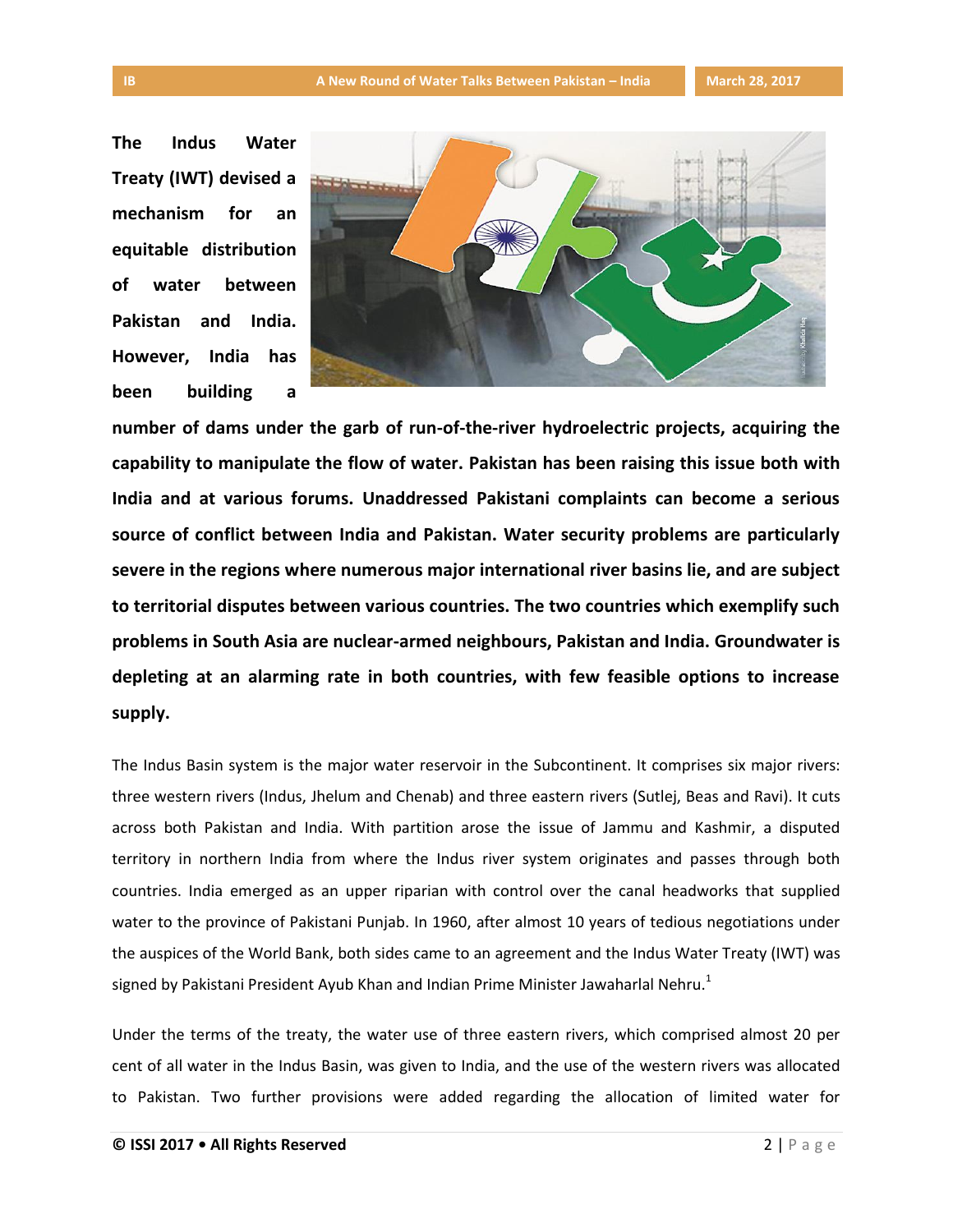**The Indus Water Treaty (IWT) devised a mechanism for an equitable distribution of water between Pakistan and India. However, India has been building a** 



**number of dams under the garb of run-of-the-river hydroelectric projects, acquiring the capability to manipulate the flow of water. Pakistan has been raising this issue both with India and at various forums. Unaddressed Pakistani complaints can become a serious source of conflict between India and Pakistan. Water security problems are particularly severe in the regions where numerous major international river basins lie, and are subject to territorial disputes between various countries. The two countries which exemplify such problems in South Asia are nuclear-armed neighbours, Pakistan and India. Groundwater is depleting at an alarming rate in both countries, with few feasible options to increase supply.**

The Indus Basin system is the major water reservoir in the Subcontinent. It comprises six major rivers: three western rivers (Indus, Jhelum and Chenab) and three eastern rivers (Sutlej, Beas and Ravi). It cuts across both Pakistan and India. With partition arose the issue of Jammu and Kashmir, a disputed territory in northern India from where the Indus river system originates and passes through both countries. India emerged as an upper riparian with control over the canal headworks that supplied water to the province of Pakistani Punjab. In 1960, after almost 10 years of tedious negotiations under the auspices of the World Bank, both sides came to an agreement and the Indus Water Treaty (IWT) was signed by Pakistani President Ayub Khan and Indian Prime Minister Jawaharlal Nehru.<sup>1</sup>

Under the terms of the treaty, the water use of three eastern rivers, which comprised almost 20 per cent of all water in the Indus Basin, was given to India, and the use of the western rivers was allocated to Pakistan. Two further provisions were added regarding the allocation of limited water for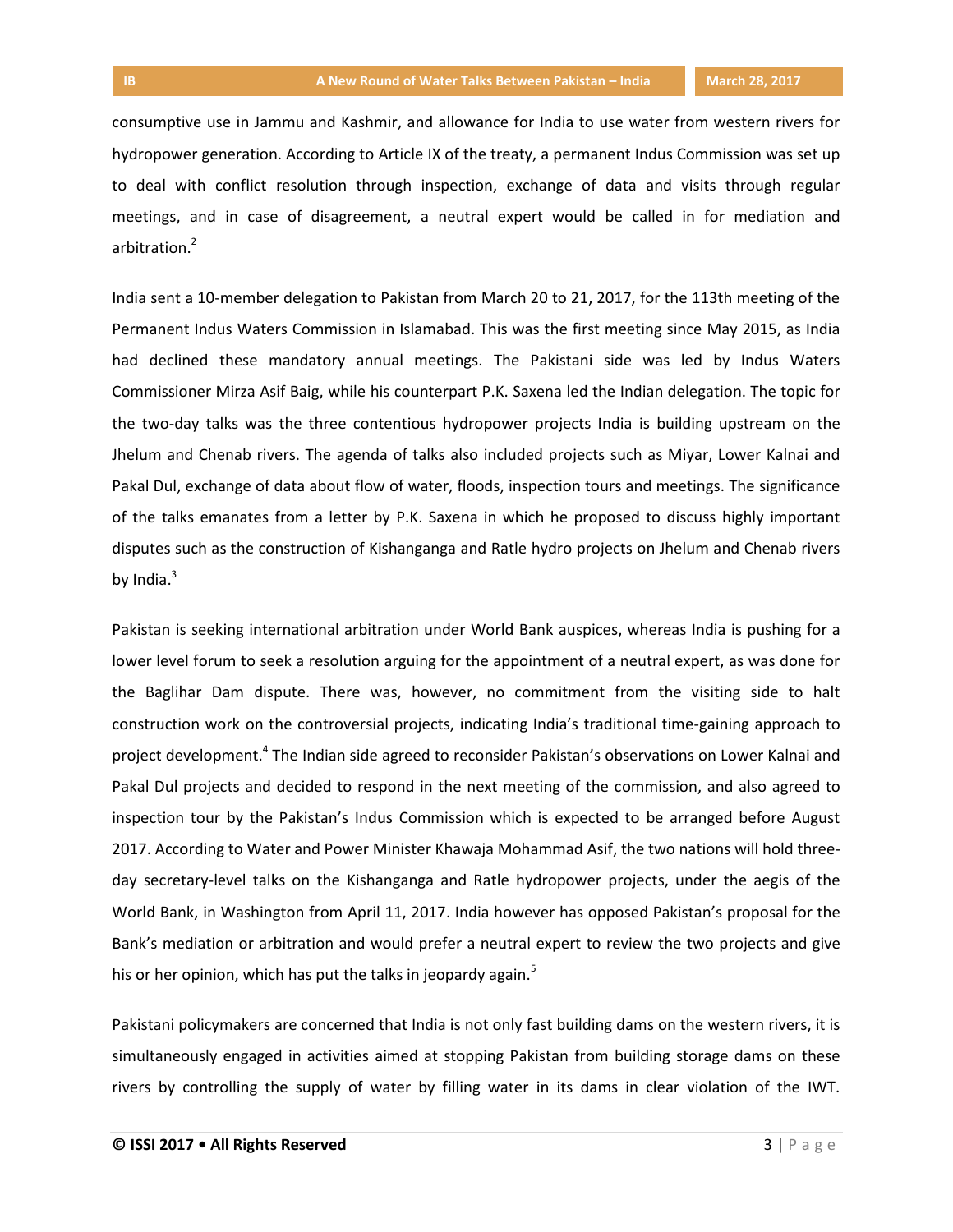consumptive use in Jammu and Kashmir, and allowance for India to use water from western rivers for hydropower generation. According to Article IX of the treaty, a permanent Indus Commission was set up to deal with conflict resolution through inspection, exchange of data and visits through regular meetings, and in case of disagreement, a neutral expert would be called in for mediation and arbitration.<sup>2</sup>

India sent a 10-member delegation to Pakistan from March 20 to 21, 2017, for the 113th meeting of the Permanent Indus Waters Commission in Islamabad. This was the first meeting since May 2015, as India had declined these mandatory annual meetings. The Pakistani side was led by Indus Waters Commissioner Mirza Asif Baig, while his counterpart P.K. Saxena led the Indian delegation. The topic for the two-day talks was the three contentious hydropower projects India is building upstream on the Jhelum and Chenab rivers. The agenda of talks also included projects such as Miyar, Lower Kalnai and Pakal Dul, exchange of data about flow of water, floods, inspection tours and meetings. The significance of the talks emanates from a letter by P.K. Saxena in which he proposed to discuss highly important disputes such as the construction of Kishanganga and Ratle hydro projects on Jhelum and Chenab rivers by India. $3$ 

Pakistan is seeking international arbitration under World Bank auspices, whereas India is pushing for a lower level forum to seek a resolution arguing for the appointment of a neutral expert, as was done for the Baglihar Dam dispute. There was, however, no commitment from the visiting side to halt construction work on the controversial projects, indicating India's traditional time-gaining approach to project development.<sup>4</sup> The Indian side agreed to reconsider Pakistan's observations on Lower Kalnai and Pakal Dul projects and decided to respond in the next meeting of the commission, and also agreed to inspection tour by the Pakistan's Indus Commission which is expected to be arranged before August 2017. According to Water and Power Minister Khawaja Mohammad Asif, the two nations will hold threeday secretary-level talks on the Kishanganga and Ratle hydropower projects, under the aegis of the World Bank, in Washington from April 11, 2017. India however has opposed Pakistan's proposal for the Bank's mediation or arbitration and would prefer a neutral expert to review the two projects and give his or her opinion, which has put the talks in jeopardy again.<sup>5</sup>

Pakistani policymakers are concerned that India is not only fast building dams on the western rivers, it is simultaneously engaged in activities aimed at stopping Pakistan from building storage dams on these rivers by controlling the supply of water by filling water in its dams in clear violation of the IWT.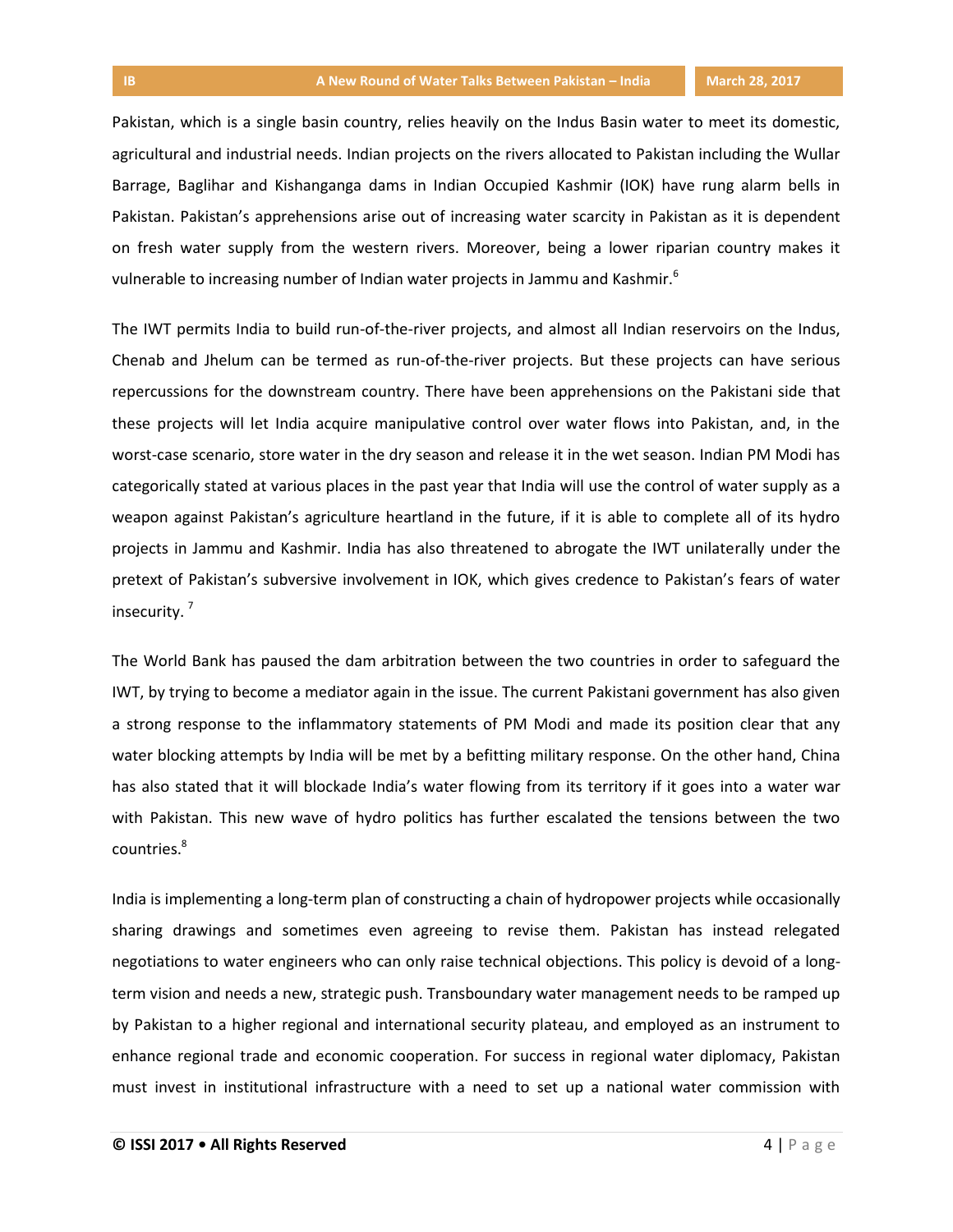Pakistan, which is a single basin country, relies heavily on the Indus Basin water to meet its domestic, agricultural and industrial needs. Indian projects on the rivers allocated to Pakistan including the Wullar Barrage, Baglihar and Kishanganga dams in Indian Occupied Kashmir (IOK) have rung alarm bells in Pakistan. Pakistan's apprehensions arise out of increasing water scarcity in Pakistan as it is dependent on fresh water supply from the western rivers. Moreover, being a lower riparian country makes it vulnerable to increasing number of Indian water projects in Jammu and Kashmir.<sup>6</sup>

The IWT permits India to build run-of-the-river projects, and almost all Indian reservoirs on the Indus, Chenab and Jhelum can be termed as run-of-the-river projects. But these projects can have serious repercussions for the downstream country. There have been apprehensions on the Pakistani side that these projects will let India acquire manipulative control over water flows into Pakistan, and, in the worst-case scenario, store water in the dry season and release it in the wet season. Indian PM Modi has categorically stated at various places in the past year that India will use the control of water supply as a weapon against Pakistan's agriculture heartland in the future, if it is able to complete all of its hydro projects in Jammu and Kashmir. India has also threatened to abrogate the IWT unilaterally under the pretext of Pakistan's subversive involvement in IOK, which gives credence to Pakistan's fears of water insecurity. <sup>7</sup>

The World Bank has paused the dam arbitration between the two countries in order to safeguard the IWT, by trying to become a mediator again in the issue. The current Pakistani government has also given a strong response to the inflammatory statements of PM Modi and made its position clear that any water blocking attempts by India will be met by a befitting military response. On the other hand, China has also stated that it will blockade India's water flowing from its territory if it goes into a water war with Pakistan. This new wave of hydro politics has further escalated the tensions between the two countries.<sup>8</sup>

India is implementing a long-term plan of constructing a chain of hydropower projects while occasionally sharing drawings and sometimes even agreeing to revise them. Pakistan has instead relegated negotiations to water engineers who can only raise technical objections. This policy is devoid of a longterm vision and needs a new, strategic push. Transboundary water management needs to be ramped up by Pakistan to a higher regional and international security plateau, and employed as an instrument to enhance regional trade and economic cooperation. For success in regional water diplomacy, Pakistan must invest in institutional infrastructure with a need to set up a national water commission with